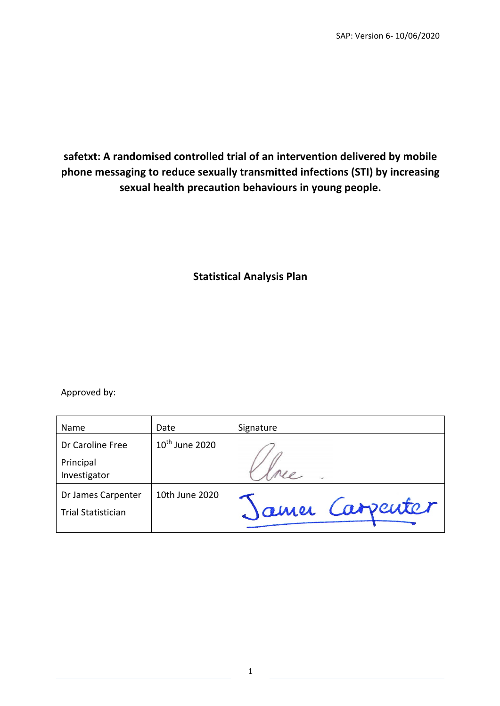# safetxt: A randomised controlled trial of an intervention delivered by mobile phone messaging to reduce sexually transmitted infections (STI) by increasing sexual health precaution behaviours in young people.

## **Statistical Analysis Plan**

Approved by:

| Name                      | Date                | Signature       |
|---------------------------|---------------------|-----------------|
| Dr Caroline Free          | $10^{th}$ June 2020 |                 |
| Principal                 |                     |                 |
| Investigator              |                     |                 |
| Dr James Carpenter        | 10th June 2020      |                 |
| <b>Trial Statistician</b> |                     | Jamer Carpenter |
|                           |                     |                 |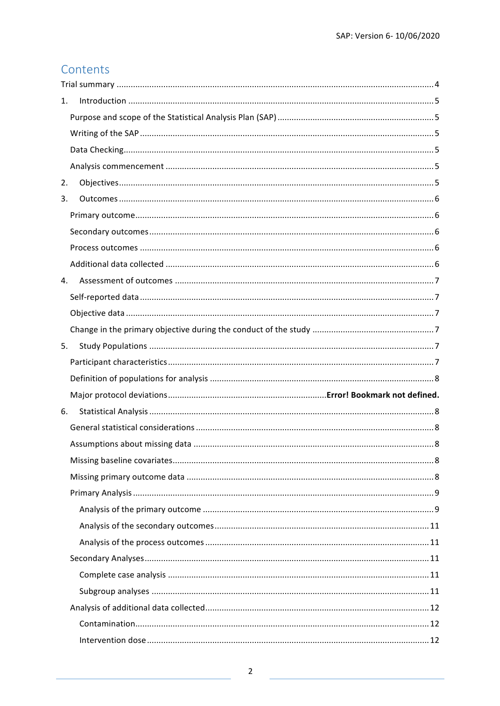# Contents

| 1. |  |
|----|--|
|    |  |
|    |  |
|    |  |
|    |  |
| 2. |  |
| 3. |  |
|    |  |
|    |  |
|    |  |
|    |  |
| 4. |  |
|    |  |
|    |  |
|    |  |
| 5. |  |
|    |  |
|    |  |
|    |  |
|    |  |
| 6. |  |
|    |  |
|    |  |
|    |  |
|    |  |
|    |  |
|    |  |
|    |  |
|    |  |
|    |  |
|    |  |
|    |  |
|    |  |
|    |  |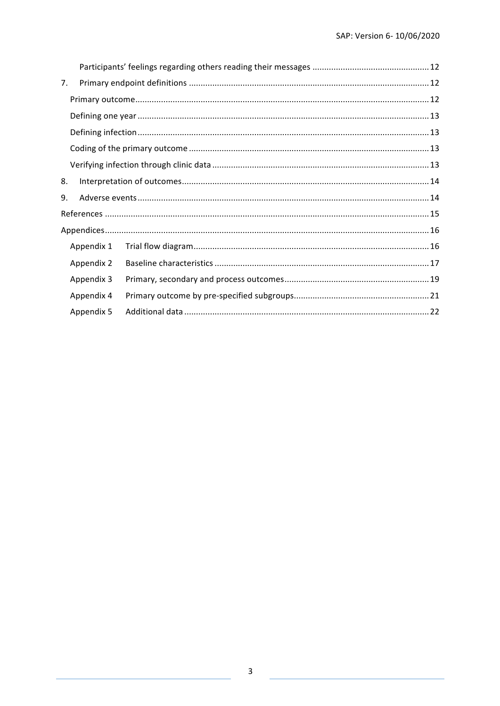| 7. |            |  |
|----|------------|--|
|    |            |  |
|    |            |  |
|    |            |  |
|    |            |  |
|    |            |  |
| 8. |            |  |
| 9. |            |  |
|    |            |  |
|    |            |  |
|    | Appendix 1 |  |
|    | Appendix 2 |  |
|    | Appendix 3 |  |
|    | Appendix 4 |  |
|    | Appendix 5 |  |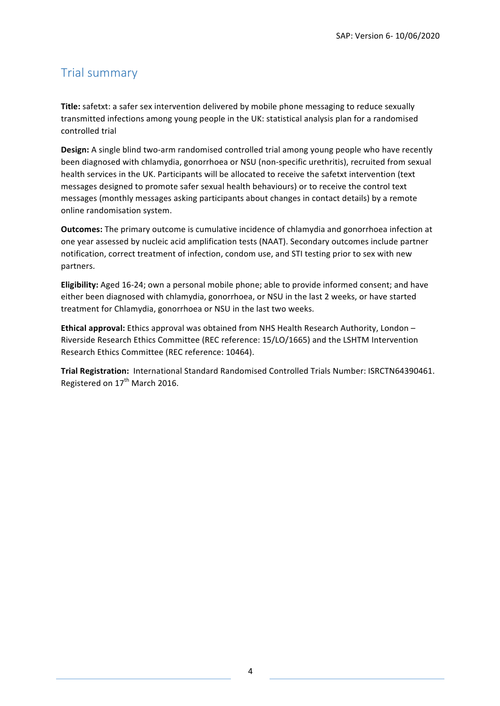# Trial summary

**Title:** safetxt: a safer sex intervention delivered by mobile phone messaging to reduce sexually transmitted infections among young people in the UK: statistical analysis plan for a randomised controlled trial

**Design:** A single blind two-arm randomised controlled trial among young people who have recently been diagnosed with chlamydia, gonorrhoea or NSU (non-specific urethritis), recruited from sexual health services in the UK. Participants will be allocated to receive the safetxt intervention (text messages designed to promote safer sexual health behaviours) or to receive the control text messages (monthly messages asking participants about changes in contact details) by a remote online randomisation system.

**Outcomes:** The primary outcome is cumulative incidence of chlamydia and gonorrhoea infection at one year assessed by nucleic acid amplification tests (NAAT). Secondary outcomes include partner notification, correct treatment of infection, condom use, and STI testing prior to sex with new partners.

**Eligibility:** Aged 16-24; own a personal mobile phone; able to provide informed consent; and have either been diagnosed with chlamydia, gonorrhoea, or NSU in the last 2 weeks, or have started treatment for Chlamydia, gonorrhoea or NSU in the last two weeks.

**Ethical approval:** Ethics approval was obtained from NHS Health Research Authority, London – Riverside Research Ethics Committee (REC reference: 15/LO/1665) and the LSHTM Intervention Research Ethics Committee (REC reference: 10464).

Trial Registration: International Standard Randomised Controlled Trials Number: ISRCTN64390461. Registered on 17<sup>th</sup> March 2016.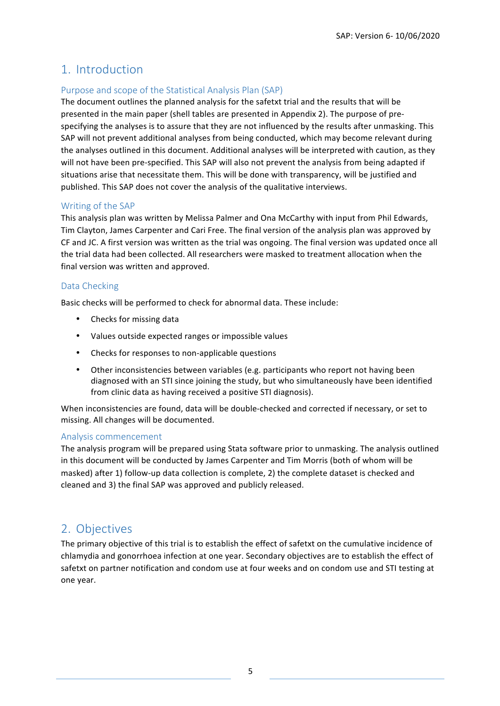## 1. Introduction

### Purpose and scope of the Statistical Analysis Plan (SAP)

The document outlines the planned analysis for the safetxt trial and the results that will be presented in the main paper (shell tables are presented in Appendix 2). The purpose of prespecifying the analyses is to assure that they are not influenced by the results after unmasking. This SAP will not prevent additional analyses from being conducted, which may become relevant during the analyses outlined in this document. Additional analyses will be interpreted with caution, as they will not have been pre-specified. This SAP will also not prevent the analysis from being adapted if situations arise that necessitate them. This will be done with transparency, will be justified and published. This SAP does not cover the analysis of the qualitative interviews.

#### Writing of the SAP

This analysis plan was written by Melissa Palmer and Ona McCarthy with input from Phil Edwards, Tim Clayton, James Carpenter and Cari Free. The final version of the analysis plan was approved by CF and JC. A first version was written as the trial was ongoing. The final version was updated once all the trial data had been collected. All researchers were masked to treatment allocation when the final version was written and approved.

#### Data Checking

Basic checks will be performed to check for abnormal data. These include:

- Checks for missing data
- Values outside expected ranges or impossible values
- Checks for responses to non-applicable questions
- Other inconsistencies between variables (e.g. participants who report not having been diagnosed with an STI since joining the study, but who simultaneously have been identified from clinic data as having received a positive STI diagnosis).

When inconsistencies are found, data will be double-checked and corrected if necessary, or set to missing. All changes will be documented.

#### Analysis commencement

The analysis program will be prepared using Stata software prior to unmasking. The analysis outlined in this document will be conducted by James Carpenter and Tim Morris (both of whom will be masked) after 1) follow-up data collection is complete, 2) the complete dataset is checked and cleaned and 3) the final SAP was approved and publicly released.

# 2. Objectives

The primary objective of this trial is to establish the effect of safetxt on the cumulative incidence of chlamydia and gonorrhoea infection at one year. Secondary objectives are to establish the effect of safetxt on partner notification and condom use at four weeks and on condom use and STI testing at one year.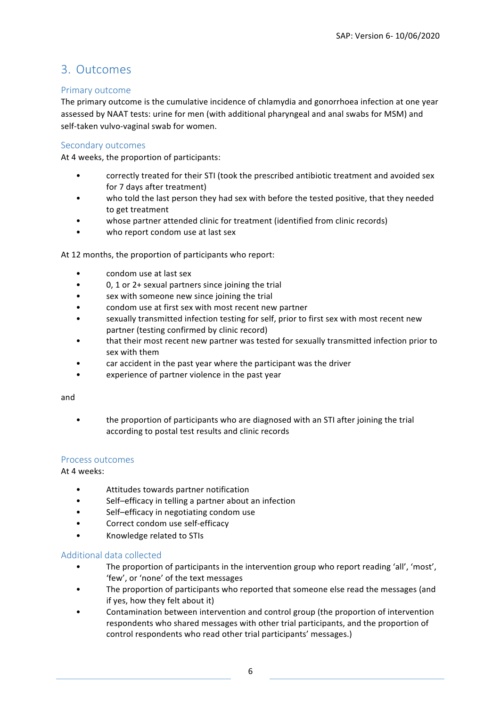## 3. Outcomes

#### Primary outcome

The primary outcome is the cumulative incidence of chlamydia and gonorrhoea infection at one year assessed by NAAT tests: urine for men (with additional pharyngeal and anal swabs for MSM) and self-taken vulvo-vaginal swab for women.

### Secondary outcomes

At 4 weeks, the proportion of participants:

- correctly treated for their STI (took the prescribed antibiotic treatment and avoided sex for 7 days after treatment)
- who told the last person they had sex with before the tested positive, that they needed to get treatment
- whose partner attended clinic for treatment (identified from clinic records)
- who report condom use at last sex

At 12 months, the proportion of participants who report:

- condom use at last sex
- 0, 1 or  $2+$  sexual partners since joining the trial
- sex with someone new since joining the trial
- condom use at first sex with most recent new partner
- sexually transmitted infection testing for self, prior to first sex with most recent new partner (testing confirmed by clinic record)
- that their most recent new partner was tested for sexually transmitted infection prior to sex with them
- car accident in the past year where the participant was the driver
- experience of partner violence in the past year

and

• the proportion of participants who are diagnosed with an STI after joining the trial according to postal test results and clinic records

#### Process outcomes

At 4 weeks:

- Attitudes towards partner notification
- Self-efficacy in telling a partner about an infection
- Self–efficacy in negotiating condom use
- Correct condom use self-efficacy
- Knowledge related to STIs

#### Additional data collected

- The proportion of participants in the intervention group who report reading 'all', 'most', 'few', or 'none' of the text messages
- The proportion of participants who reported that someone else read the messages (and if yes, how they felt about it)
- Contamination between intervention and control group (the proportion of intervention respondents who shared messages with other trial participants, and the proportion of control respondents who read other trial participants' messages.)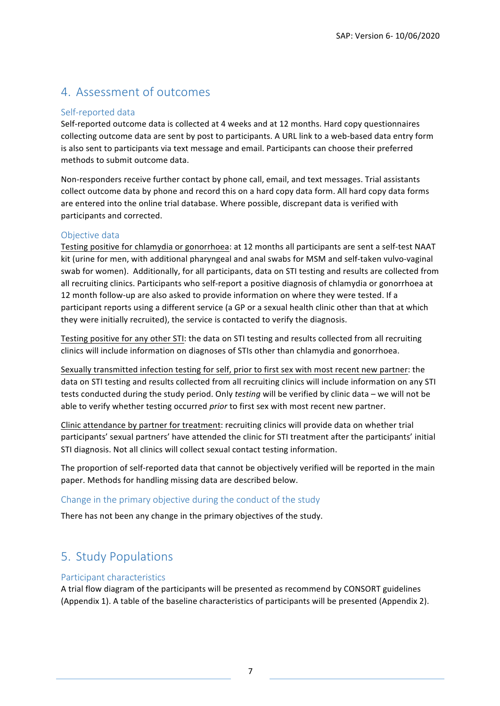# 4. Assessment of outcomes

### Self-reported data

Self-reported outcome data is collected at 4 weeks and at 12 months. Hard copy questionnaires collecting outcome data are sent by post to participants. A URL link to a web-based data entry form is also sent to participants via text message and email. Participants can choose their preferred methods to submit outcome data.

Non-responders receive further contact by phone call, email, and text messages. Trial assistants collect outcome data by phone and record this on a hard copy data form. All hard copy data forms are entered into the online trial database. Where possible, discrepant data is verified with participants and corrected.

### Objective data

Testing positive for chlamydia or gonorrhoea: at 12 months all participants are sent a self-test NAAT kit (urine for men, with additional pharyngeal and anal swabs for MSM and self-taken vulvo-vaginal swab for women). Additionally, for all participants, data on STI testing and results are collected from all recruiting clinics. Participants who self-report a positive diagnosis of chlamydia or gonorrhoea at 12 month follow-up are also asked to provide information on where they were tested. If a participant reports using a different service (a GP or a sexual health clinic other than that at which they were initially recruited), the service is contacted to verify the diagnosis.

Testing positive for any other STI: the data on STI testing and results collected from all recruiting clinics will include information on diagnoses of STIs other than chlamydia and gonorrhoea.

Sexually transmitted infection testing for self, prior to first sex with most recent new partner: the data on STI testing and results collected from all recruiting clinics will include information on any STI tests conducted during the study period. Only *testing* will be verified by clinic data – we will not be able to verify whether testing occurred *prior* to first sex with most recent new partner.

Clinic attendance by partner for treatment: recruiting clinics will provide data on whether trial participants' sexual partners' have attended the clinic for STI treatment after the participants' initial STI diagnosis. Not all clinics will collect sexual contact testing information.

The proportion of self-reported data that cannot be objectively verified will be reported in the main paper. Methods for handling missing data are described below.

### Change in the primary objective during the conduct of the study

There has not been any change in the primary objectives of the study.

# 5. Study Populations

#### Participant characteristics

A trial flow diagram of the participants will be presented as recommend by CONSORT guidelines (Appendix 1). A table of the baseline characteristics of participants will be presented (Appendix 2).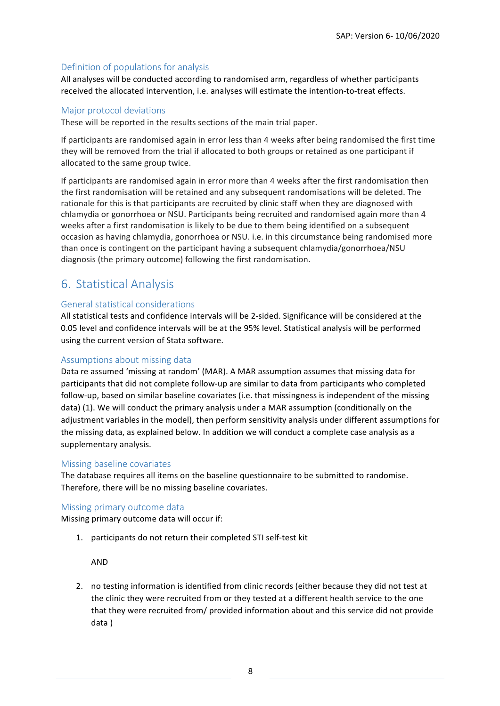### Definition of populations for analysis

All analyses will be conducted according to randomised arm, regardless of whether participants received the allocated intervention, i.e. analyses will estimate the intention-to-treat effects.

#### Major protocol deviations

These will be reported in the results sections of the main trial paper.

If participants are randomised again in error less than 4 weeks after being randomised the first time they will be removed from the trial if allocated to both groups or retained as one participant if allocated to the same group twice.

If participants are randomised again in error more than 4 weeks after the first randomisation then the first randomisation will be retained and any subsequent randomisations will be deleted. The rationale for this is that participants are recruited by clinic staff when they are diagnosed with chlamydia or gonorrhoea or NSU. Participants being recruited and randomised again more than 4 weeks after a first randomisation is likely to be due to them being identified on a subsequent occasion as having chlamydia, gonorrhoea or NSU. i.e. in this circumstance being randomised more than once is contingent on the participant having a subsequent chlamydia/gonorrhoea/NSU diagnosis (the primary outcome) following the first randomisation.

## 6. Statistical Analysis

#### General statistical considerations

All statistical tests and confidence intervals will be 2-sided. Significance will be considered at the 0.05 level and confidence intervals will be at the 95% level. Statistical analysis will be performed using the current version of Stata software.

#### Assumptions about missing data

Data re assumed 'missing at random' (MAR). A MAR assumption assumes that missing data for participants that did not complete follow-up are similar to data from participants who completed follow-up, based on similar baseline covariates (i.e. that missingness is independent of the missing data) (1). We will conduct the primary analysis under a MAR assumption (conditionally on the adjustment variables in the model), then perform sensitivity analysis under different assumptions for the missing data, as explained below. In addition we will conduct a complete case analysis as a supplementary analysis. 

#### Missing baseline covariates

The database requires all items on the baseline questionnaire to be submitted to randomise. Therefore, there will be no missing baseline covariates.

#### Missing primary outcome data

Missing primary outcome data will occur if:

1. participants do not return their completed STI self-test kit

AND

2. no testing information is identified from clinic records (either because they did not test at the clinic they were recruited from or they tested at a different health service to the one that they were recruited from/ provided information about and this service did not provide data )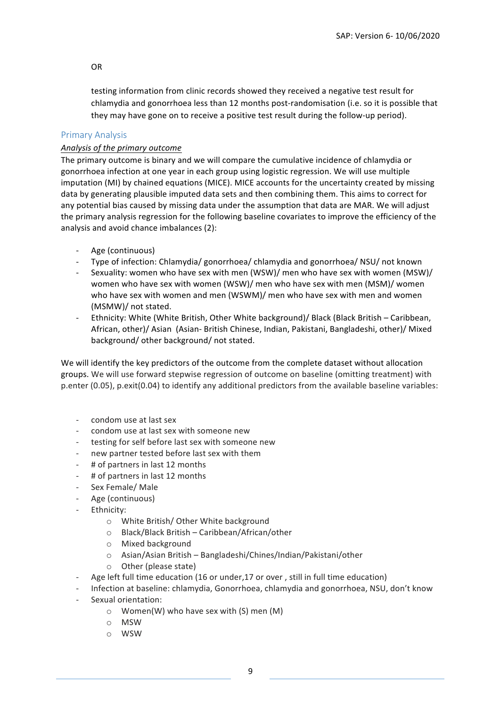#### OR

testing information from clinic records showed they received a negative test result for chlamydia and gonorrhoea less than 12 months post-randomisation (i.e. so it is possible that they may have gone on to receive a positive test result during the follow-up period).

#### Primary Analysis

#### Analysis of the primary outcome

The primary outcome is binary and we will compare the cumulative incidence of chlamydia or gonorrhoea infection at one year in each group using logistic regression. We will use multiple imputation (MI) by chained equations (MICE). MICE accounts for the uncertainty created by missing data by generating plausible imputed data sets and then combining them. This aims to correct for any potential bias caused by missing data under the assumption that data are MAR. We will adjust the primary analysis regression for the following baseline covariates to improve the efficiency of the analysis and avoid chance imbalances (2):

- Age (continuous)
- Type of infection: Chlamydia/ gonorrhoea/ chlamydia and gonorrhoea/ NSU/ not known
- Sexuality: women who have sex with men (WSW)/ men who have sex with women (MSW)/ women who have sex with women (WSW)/ men who have sex with men (MSM)/ women who have sex with women and men (WSWM)/ men who have sex with men and women (MSMW)/ not stated.
- Ethnicity: White (White British, Other White background)/ Black (Black British Caribbean, African, other)/ Asian (Asian- British Chinese, Indian, Pakistani, Bangladeshi, other)/ Mixed background/ other background/ not stated.

We will identify the key predictors of the outcome from the complete dataset without allocation groups. We will use forward stepwise regression of outcome on baseline (omitting treatment) with p.enter (0.05), p.exit(0.04) to identify any additional predictors from the available baseline variables:

- condom use at last sex
- condom use at last sex with someone new
- testing for self before last sex with someone new
- new partner tested before last sex with them
- # of partners in last 12 months
- # of partners in last 12 months
- Sex Female/ Male
- Age (continuous)
- Ethnicity:
	- o White British/ Other White background
	- o Black/Black British Caribbean/African/other
	- o Mixed background
	- o Asian/Asian British Bangladeshi/Chines/Indian/Pakistani/other
	- o Other (please state)
- Age left full time education (16 or under, 17 or over, still in full time education)
- Infection at baseline: chlamydia, Gonorrhoea, chlamydia and gonorrhoea, NSU, don't know
- Sexual orientation:
	- o Women(W) who have sex with (S) men (M)
	- o MSW
	- o WSW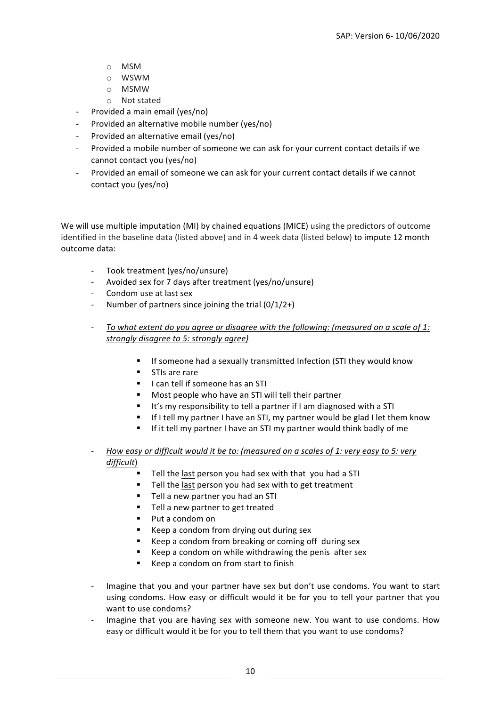- o MSM
- o WSWM
- o MSMW
- o Not stated
- Provided a main email (yes/no)
- Provided an alternative mobile number (yes/no)
- Provided an alternative email (yes/no)
- Provided a mobile number of someone we can ask for your current contact details if we cannot contact you (yes/no)
- Provided an email of someone we can ask for your current contact details if we cannot contact you (yes/no)

We will use multiple imputation (MI) by chained equations (MICE) using the predictors of outcome identified in the baseline data (listed above) and in 4 week data (listed below) to impute 12 month outcome data:

- Took treatment (yes/no/unsure)
- Avoided sex for 7 days after treatment (yes/no/unsure)
- Condom use at last sex
- Number of partners since joining the trial  $(0/1/2+)$
- *To* what extent do you agree or disagree with the following: (measured on a scale of 1: *strongly disagree to 5: strongly agree)*
	- If someone had a sexually transmitted Infection (STI they would know
	- STIs are rare
	- I can tell if someone has an STI
	- Most people who have an STI will tell their partner
	- It's my responsibility to tell a partner if I am diagnosed with a STI
	- If I tell my partner I have an STI, my partner would be glad I let them know
	- If it tell my partner I have an STI my partner would think badly of me
- *How easy or difficult would it be to: (measured on a scales of 1: very easy to 5: very difficult*)
	- Tell the last person you had sex with that you had a STI
	- Tell the last person you had sex with to get treatment
	- Tell a new partner you had an STI
	- Tell a new partner to get treated
	- Put a condom on
	- Keep a condom from drying out during sex
	- Keep a condom from breaking or coming off during sex
	- Keep a condom on while withdrawing the penis after sex
	- Keep a condom on from start to finish
- Imagine that you and your partner have sex but don't use condoms. You want to start using condoms. How easy or difficult would it be for you to tell your partner that you want to use condoms?
- Imagine that you are having sex with someone new. You want to use condoms. How easy or difficult would it be for you to tell them that you want to use condoms?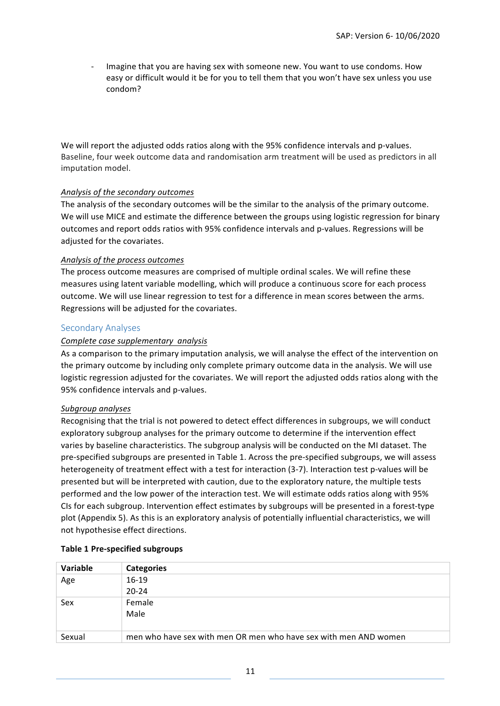Imagine that you are having sex with someone new. You want to use condoms. How easy or difficult would it be for you to tell them that you won't have sex unless you use condom?

We will report the adjusted odds ratios along with the 95% confidence intervals and p-values. Baseline, four week outcome data and randomisation arm treatment will be used as predictors in all imputation model.

#### *Analysis of the secondary outcomes*

The analysis of the secondary outcomes will be the similar to the analysis of the primary outcome. We will use MICE and estimate the difference between the groups using logistic regression for binary outcomes and report odds ratios with 95% confidence intervals and p-values. Regressions will be adjusted for the covariates.

#### *Analysis of the process outcomes*

The process outcome measures are comprised of multiple ordinal scales. We will refine these measures using latent variable modelling, which will produce a continuous score for each process outcome. We will use linear regression to test for a difference in mean scores between the arms. Regressions will be adjusted for the covariates.

#### Secondary Analyses

#### *Complete case supplementary analysis*

As a comparison to the primary imputation analysis, we will analyse the effect of the intervention on the primary outcome by including only complete primary outcome data in the analysis. We will use logistic regression adjusted for the covariates. We will report the adjusted odds ratios along with the 95% confidence intervals and p-values.

#### *Subgroup analyses*

Recognising that the trial is not powered to detect effect differences in subgroups, we will conduct exploratory subgroup analyses for the primary outcome to determine if the intervention effect varies by baseline characteristics. The subgroup analysis will be conducted on the MI dataset. The pre-specified subgroups are presented in Table 1. Across the pre-specified subgroups, we will assess heterogeneity of treatment effect with a test for interaction (3-7). Interaction test p-values will be presented but will be interpreted with caution, due to the exploratory nature, the multiple tests performed and the low power of the interaction test. We will estimate odds ratios along with 95% CIs for each subgroup. Intervention effect estimates by subgroups will be presented in a forest-type plot (Appendix 5). As this is an exploratory analysis of potentially influential characteristics, we will not hypothesise effect directions.

| Variable | <b>Categories</b>                                                |
|----------|------------------------------------------------------------------|
| Age      | $16-19$                                                          |
|          | $20 - 24$                                                        |
| Sex      | Female                                                           |
|          | Male                                                             |
|          |                                                                  |
| Sexual   | men who have sex with men OR men who have sex with men AND women |

#### **Table 1 Pre-specified subgroups**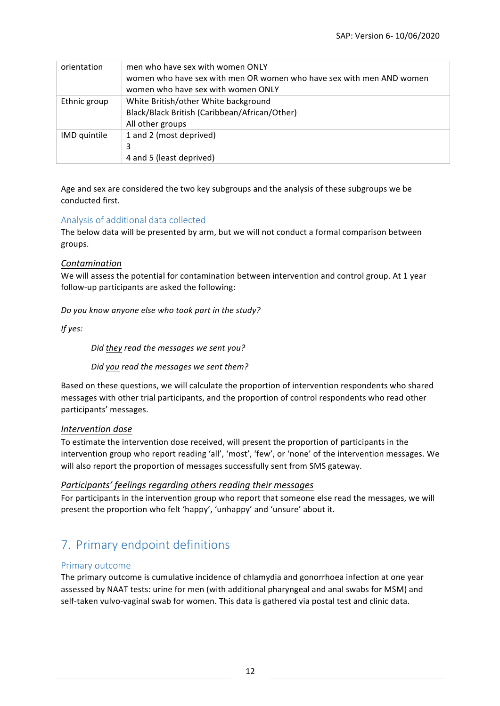| orientation         | men who have sex with women ONLY<br>women who have sex with men OR women who have sex with men AND women<br>women who have sex with women ONLY |
|---------------------|------------------------------------------------------------------------------------------------------------------------------------------------|
| Ethnic group        | White British/other White background<br>Black/Black British (Caribbean/African/Other)<br>All other groups                                      |
| <b>IMD</b> quintile | 1 and 2 (most deprived)<br>3<br>4 and 5 (least deprived)                                                                                       |

Age and sex are considered the two key subgroups and the analysis of these subgroups we be conducted first. 

### Analysis of additional data collected

The below data will be presented by arm, but we will not conduct a formal comparison between groups.

#### *Contamination*

We will assess the potential for contamination between intervention and control group. At 1 year follow-up participants are asked the following:

*Do you know anyone else who took part in the study?* 

*If yes:*

*Did they read the messages we sent you?* 

*Did you read the messages we sent them?* 

Based on these questions, we will calculate the proportion of intervention respondents who shared messages with other trial participants, and the proportion of control respondents who read other participants' messages. 

#### *Intervention dose*

To estimate the intervention dose received, will present the proportion of participants in the intervention group who report reading 'all', 'most', 'few', or 'none' of the intervention messages. We will also report the proportion of messages successfully sent from SMS gateway.

#### *Participants' feelings regarding others reading their messages*

For participants in the intervention group who report that someone else read the messages, we will present the proportion who felt 'happy', 'unhappy' and 'unsure' about it.

# 7. Primary endpoint definitions

#### Primary outcome

The primary outcome is cumulative incidence of chlamydia and gonorrhoea infection at one year assessed by NAAT tests: urine for men (with additional pharyngeal and anal swabs for MSM) and self-taken vulvo-vaginal swab for women. This data is gathered via postal test and clinic data.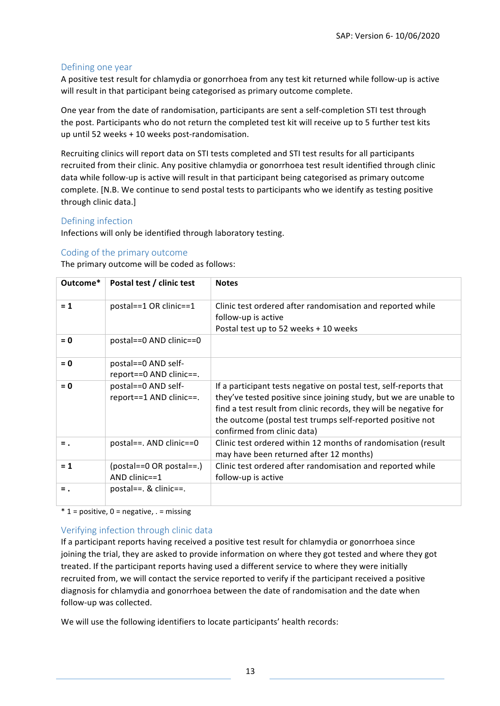### Defining one year

A positive test result for chlamydia or gonorrhoea from any test kit returned while follow-up is active will result in that participant being categorised as primary outcome complete.

One year from the date of randomisation, participants are sent a self-completion STI test through the post. Participants who do not return the completed test kit will receive up to 5 further test kits up until 52 weeks  $+10$  weeks post-randomisation.

Recruiting clinics will report data on STI tests completed and STI test results for all participants recruited from their clinic. Any positive chlamydia or gonorrhoea test result identified through clinic data while follow-up is active will result in that participant being categorised as primary outcome complete. [N.B. We continue to send postal tests to participants who we identify as testing positive through clinic data.]

#### Defining infection

Infections will only be identified through laboratory testing.

#### Coding of the primary outcome

The primary outcome will be coded as follows:

| Outcome* | Postal test / clinic test                      | <b>Notes</b>                                                                                                                                                                                                                                                                                             |
|----------|------------------------------------------------|----------------------------------------------------------------------------------------------------------------------------------------------------------------------------------------------------------------------------------------------------------------------------------------------------------|
| $= 1$    | postal==1 OR clinic==1                         | Clinic test ordered after randomisation and reported while<br>follow-up is active<br>Postal test up to 52 weeks + 10 weeks                                                                                                                                                                               |
| $= 0$    | postal==0 AND clinic==0                        |                                                                                                                                                                                                                                                                                                          |
| $= 0$    | postal==0 AND self-<br>report==0 AND clinic==. |                                                                                                                                                                                                                                                                                                          |
| $= 0$    | postal==0 AND self-<br>report==1 AND clinic==. | If a participant tests negative on postal test, self-reports that<br>they've tested positive since joining study, but we are unable to<br>find a test result from clinic records, they will be negative for<br>the outcome (postal test trumps self-reported positive not<br>confirmed from clinic data) |
| $=$ .    | postal==. AND clinic==0                        | Clinic test ordered within 12 months of randomisation (result<br>may have been returned after 12 months)                                                                                                                                                                                                 |
| $= 1$    | $(postal==0 OR postal==)$<br>AND clinic= $=1$  | Clinic test ordered after randomisation and reported while<br>follow-up is active                                                                                                                                                                                                                        |
| $=$ .    | postal== $. 8$ clinic== $. 1$                  |                                                                                                                                                                                                                                                                                                          |

 $*$  1 = positive, 0 = negative, . = missing

#### Verifying infection through clinic data

If a participant reports having received a positive test result for chlamydia or gonorrhoea since joining the trial, they are asked to provide information on where they got tested and where they got treated. If the participant reports having used a different service to where they were initially recruited from, we will contact the service reported to verify if the participant received a positive diagnosis for chlamydia and gonorrhoea between the date of randomisation and the date when follow-up was collected.

We will use the following identifiers to locate participants' health records: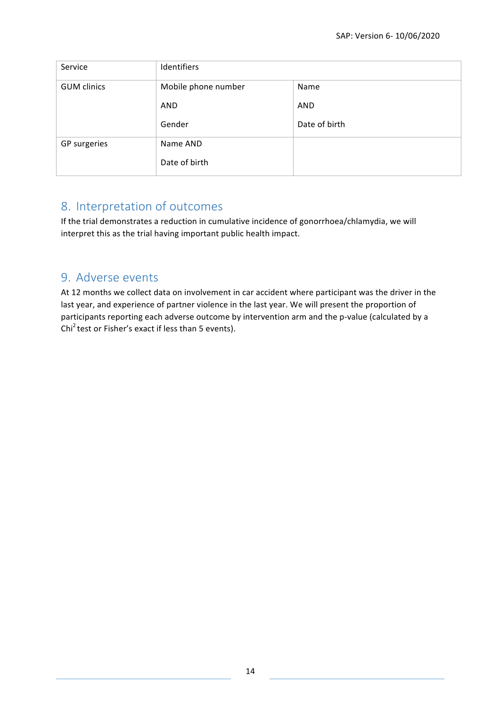| Service            | Identifiers         |               |
|--------------------|---------------------|---------------|
| <b>GUM</b> clinics | Mobile phone number | Name          |
|                    | AND                 | <b>AND</b>    |
|                    | Gender              | Date of birth |
| GP surgeries       | Name AND            |               |
|                    | Date of birth       |               |

# 8. Interpretation of outcomes

If the trial demonstrates a reduction in cumulative incidence of gonorrhoea/chlamydia, we will interpret this as the trial having important public health impact.

## 9. Adverse events

At 12 months we collect data on involvement in car accident where participant was the driver in the last year, and experience of partner violence in the last year. We will present the proportion of participants reporting each adverse outcome by intervention arm and the p-value (calculated by a Chi<sup>2</sup> test or Fisher's exact if less than 5 events).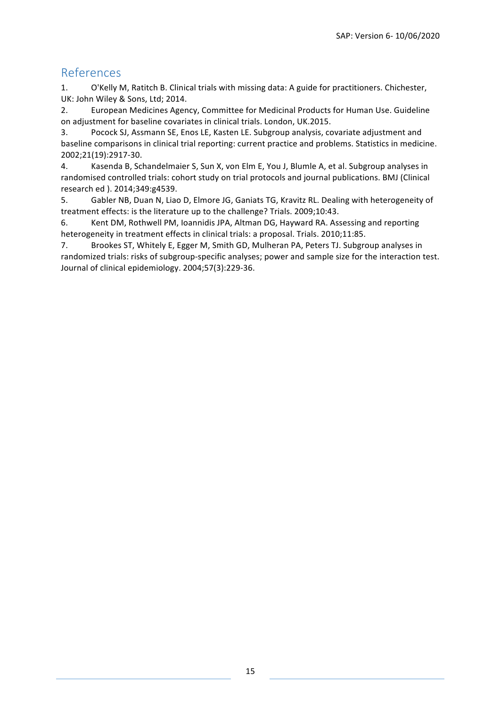## References

1. O'Kelly M, Ratitch B. Clinical trials with missing data: A guide for practitioners. Chichester, UK: John Wiley & Sons, Ltd; 2014.

2. European Medicines Agency, Committee for Medicinal Products for Human Use. Guideline on adjustment for baseline covariates in clinical trials. London, UK.2015.

3. Pocock SJ, Assmann SE, Enos LE, Kasten LE. Subgroup analysis, covariate adjustment and baseline comparisons in clinical trial reporting: current practice and problems. Statistics in medicine. 2002;21(19):2917-30.

4. Kasenda B, Schandelmaier S, Sun X, von Elm E, You J, Blumle A, et al. Subgroup analyses in randomised controlled trials: cohort study on trial protocols and journal publications. BMJ (Clinical research ed ). 2014;349:g4539.

5. Gabler NB, Duan N, Liao D, Elmore JG, Ganiats TG, Kravitz RL. Dealing with heterogeneity of treatment effects: is the literature up to the challenge? Trials. 2009;10:43.

6. Kent DM, Rothwell PM, Ioannidis JPA, Altman DG, Hayward RA. Assessing and reporting heterogeneity in treatment effects in clinical trials: a proposal. Trials. 2010;11:85.

7. Brookes ST, Whitely E, Egger M, Smith GD, Mulheran PA, Peters TJ. Subgroup analyses in randomized trials: risks of subgroup-specific analyses; power and sample size for the interaction test. Journal of clinical epidemiology. 2004;57(3):229-36.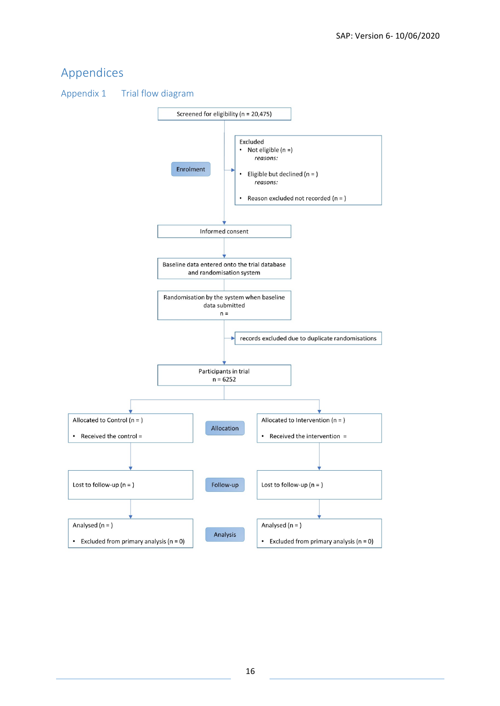# Appendices

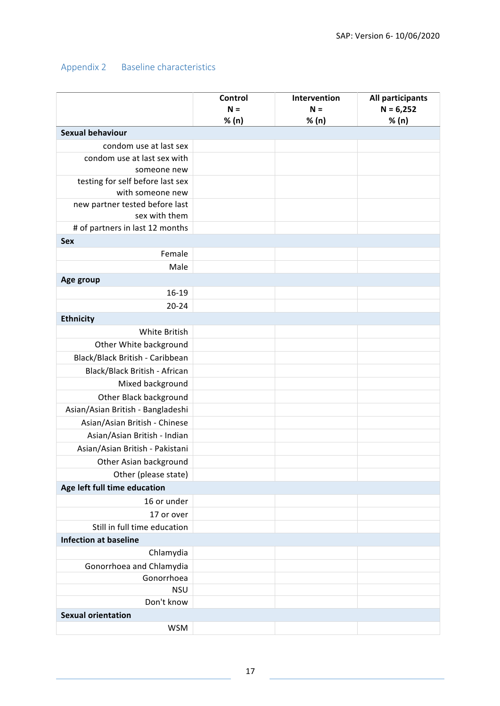## Appendix 2 Baseline characteristics

|                                                      | Control | Intervention | All participants |
|------------------------------------------------------|---------|--------------|------------------|
|                                                      | $N =$   | $N =$        | $N = 6,252$      |
|                                                      | % (n)   | % (n)        | % (n)            |
| <b>Sexual behaviour</b>                              |         |              |                  |
| condom use at last sex                               |         |              |                  |
| condom use at last sex with                          |         |              |                  |
| someone new                                          |         |              |                  |
| testing for self before last sex<br>with someone new |         |              |                  |
| new partner tested before last                       |         |              |                  |
| sex with them                                        |         |              |                  |
| # of partners in last 12 months                      |         |              |                  |
| Sex                                                  |         |              |                  |
| Female                                               |         |              |                  |
| Male                                                 |         |              |                  |
| Age group                                            |         |              |                  |
| $16-19$                                              |         |              |                  |
| $20 - 24$                                            |         |              |                  |
| <b>Ethnicity</b>                                     |         |              |                  |
| White British                                        |         |              |                  |
| Other White background                               |         |              |                  |
| Black/Black British - Caribbean                      |         |              |                  |
| Black/Black British - African                        |         |              |                  |
| Mixed background                                     |         |              |                  |
| Other Black background                               |         |              |                  |
| Asian/Asian British - Bangladeshi                    |         |              |                  |
| Asian/Asian British - Chinese                        |         |              |                  |
| Asian/Asian British - Indian                         |         |              |                  |
| Asian/Asian British - Pakistani                      |         |              |                  |
| Other Asian background                               |         |              |                  |
| Other (please state)                                 |         |              |                  |
| Age left full time education                         |         |              |                  |
| 16 or under                                          |         |              |                  |
| 17 or over                                           |         |              |                  |
| Still in full time education                         |         |              |                  |
| <b>Infection at baseline</b>                         |         |              |                  |
| Chlamydia                                            |         |              |                  |
| Gonorrhoea and Chlamydia                             |         |              |                  |
| Gonorrhoea                                           |         |              |                  |
| <b>NSU</b>                                           |         |              |                  |
| Don't know                                           |         |              |                  |
| <b>Sexual orientation</b>                            |         |              |                  |
| <b>WSM</b>                                           |         |              |                  |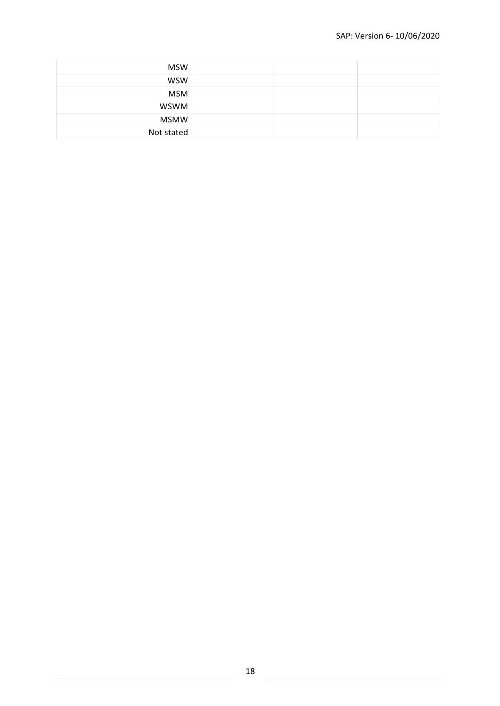| <b>MSW</b>  |  |  |
|-------------|--|--|
| <b>WSW</b>  |  |  |
| <b>MSM</b>  |  |  |
| <b>WSWM</b> |  |  |
| <b>MSMW</b> |  |  |
| Not stated  |  |  |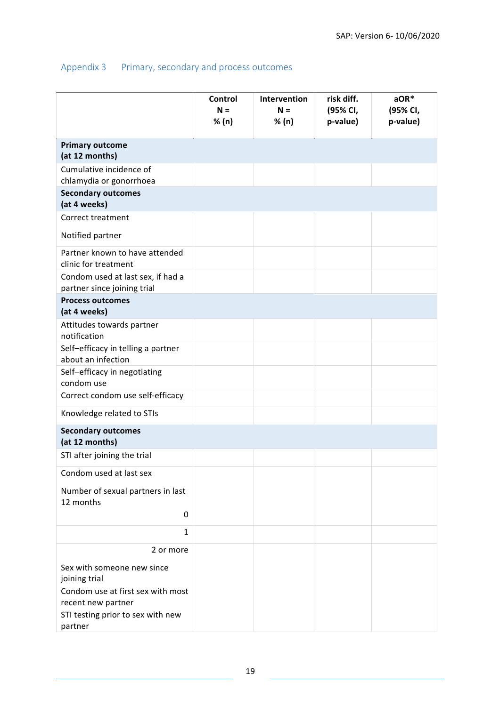## Appendix 3 Primary, secondary and process outcomes

|                                                                  | Control<br>$N =$<br>% (n) | Intervention<br>$N =$<br>% (n) | risk diff.<br>(95% CI,<br>p-value) | $aOR*$<br>(95% CI,<br>p-value) |
|------------------------------------------------------------------|---------------------------|--------------------------------|------------------------------------|--------------------------------|
| <b>Primary outcome</b><br>(at 12 months)                         |                           |                                |                                    |                                |
| Cumulative incidence of<br>chlamydia or gonorrhoea               |                           |                                |                                    |                                |
| <b>Secondary outcomes</b><br>(at 4 weeks)                        |                           |                                |                                    |                                |
| Correct treatment                                                |                           |                                |                                    |                                |
| Notified partner                                                 |                           |                                |                                    |                                |
| Partner known to have attended<br>clinic for treatment           |                           |                                |                                    |                                |
| Condom used at last sex, if had a<br>partner since joining trial |                           |                                |                                    |                                |
| <b>Process outcomes</b><br>(at 4 weeks)                          |                           |                                |                                    |                                |
| Attitudes towards partner<br>notification                        |                           |                                |                                    |                                |
| Self-efficacy in telling a partner<br>about an infection         |                           |                                |                                    |                                |
| Self-efficacy in negotiating<br>condom use                       |                           |                                |                                    |                                |
| Correct condom use self-efficacy                                 |                           |                                |                                    |                                |
| Knowledge related to STIs                                        |                           |                                |                                    |                                |
| <b>Secondary outcomes</b><br>(at 12 months)                      |                           |                                |                                    |                                |
| STI after joining the trial                                      |                           |                                |                                    |                                |
| Condom used at last sex                                          |                           |                                |                                    |                                |
| Number of sexual partners in last<br>12 months                   |                           |                                |                                    |                                |
| 0                                                                |                           |                                |                                    |                                |
| $\mathbf{1}$                                                     |                           |                                |                                    |                                |
| 2 or more                                                        |                           |                                |                                    |                                |
| Sex with someone new since<br>joining trial                      |                           |                                |                                    |                                |
| Condom use at first sex with most<br>recent new partner          |                           |                                |                                    |                                |
| STI testing prior to sex with new<br>partner                     |                           |                                |                                    |                                |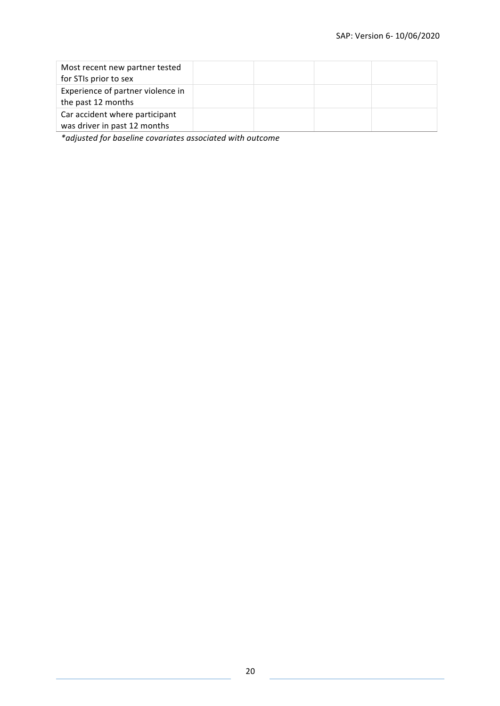| Most recent new partner tested<br>for STIs prior to sex        |  |  |
|----------------------------------------------------------------|--|--|
| Experience of partner violence in<br>the past 12 months        |  |  |
| Car accident where participant<br>was driver in past 12 months |  |  |

*\*adjusted for baseline covariates associated with outcome*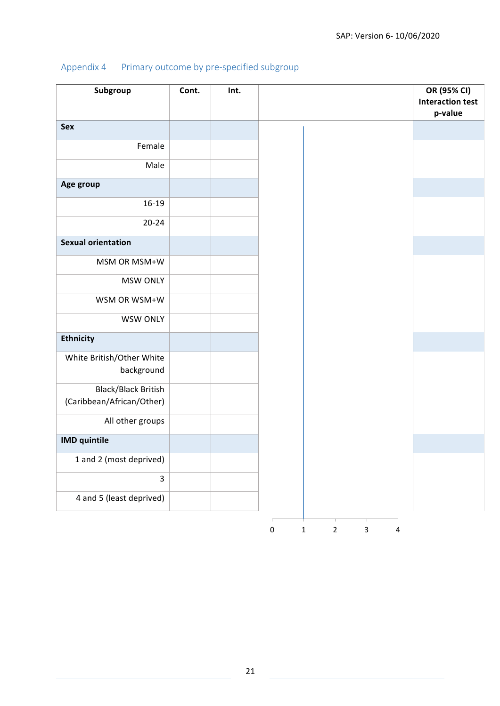|  |  | Appendix 4 Primary outcome by pre-specified subgroup |  |
|--|--|------------------------------------------------------|--|
|--|--|------------------------------------------------------|--|

| Subgroup                   | Cont. | Int. | OR (95% CI)<br><b>Interaction test</b>                               |
|----------------------------|-------|------|----------------------------------------------------------------------|
|                            |       |      | p-value                                                              |
| Sex                        |       |      |                                                                      |
| Female                     |       |      |                                                                      |
| Male                       |       |      |                                                                      |
| Age group                  |       |      |                                                                      |
| 16-19                      |       |      |                                                                      |
| $20 - 24$                  |       |      |                                                                      |
| <b>Sexual orientation</b>  |       |      |                                                                      |
| MSM OR MSM+W               |       |      |                                                                      |
| <b>MSW ONLY</b>            |       |      |                                                                      |
| WSM OR WSM+W               |       |      |                                                                      |
| <b>WSW ONLY</b>            |       |      |                                                                      |
| <b>Ethnicity</b>           |       |      |                                                                      |
| White British/Other White  |       |      |                                                                      |
| background                 |       |      |                                                                      |
| <b>Black/Black British</b> |       |      |                                                                      |
| (Caribbean/African/Other)  |       |      |                                                                      |
| All other groups           |       |      |                                                                      |
| <b>IMD</b> quintile        |       |      |                                                                      |
| 1 and 2 (most deprived)    |       |      |                                                                      |
| $\overline{\mathbf{3}}$    |       |      |                                                                      |
| 4 and 5 (least deprived)   |       |      |                                                                      |
|                            |       |      | $\mathbf 2$<br>$\pmb{0}$<br>$\mathbf 1$<br>$\mathbf{3}$<br>$\pmb{4}$ |